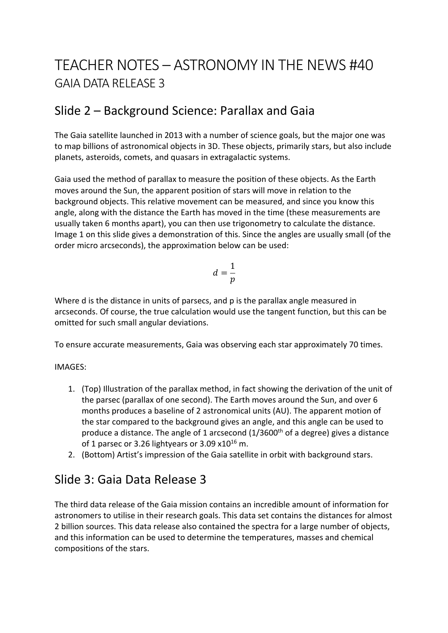# TEACHER NOTES – ASTRONOMY IN THE NEWS #40 GAIA DATA RELEASE 3

### Slide 2 – Background Science: Parallax and Gaia

The Gaia satellite launched in 2013 with a number of science goals, but the major one was to map billions of astronomical objects in 3D. These objects, primarily stars, but also include planets, asteroids, comets, and quasars in extragalactic systems.

Gaia used the method of parallax to measure the position of these objects. As the Earth moves around the Sun, the apparent position of stars will move in relation to the background objects. This relative movement can be measured, and since you know this angle, along with the distance the Earth has moved in the time (these measurements are usually taken 6 months apart), you can then use trigonometry to calculate the distance. Image 1 on this slide gives a demonstration of this. Since the angles are usually small (of the order micro arcseconds), the approximation below can be used:

$$
d=\frac{1}{p}
$$

Where d is the distance in units of parsecs, and p is the parallax angle measured in arcseconds. Of course, the true calculation would use the tangent function, but this can be omitted for such small angular deviations.

To ensure accurate measurements, Gaia was observing each star approximately 70 times.

#### IMAGES:

- 1. (Top) Illustration of the parallax method, in fact showing the derivation of the unit of the parsec (parallax of one second). The Earth moves around the Sun, and over 6 months produces a baseline of 2 astronomical units (AU). The apparent motion of the star compared to the background gives an angle, and this angle can be used to produce a distance. The angle of 1 arcsecond  $(1/3600<sup>th</sup>$  of a degree) gives a distance of 1 parsec or 3.26 lightyears or 3.09  $x10^{16}$  m.
- 2. (Bottom) Artist's impression of the Gaia satellite in orbit with background stars.

### Slide 3: Gaia Data Release 3

The third data release of the Gaia mission contains an incredible amount of information for astronomers to utilise in their research goals. This data set contains the distances for almost 2 billion sources. This data release also contained the spectra for a large number of objects, and this information can be used to determine the temperatures, masses and chemical compositions of the stars.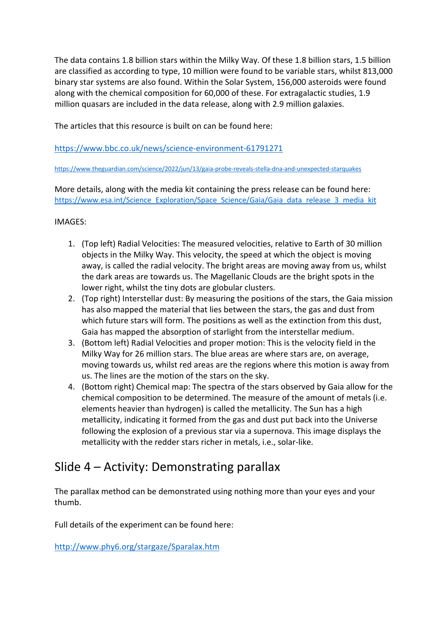The data contains 1.8 billion stars within the Milky Way. Of these 1.8 billion stars, 1.5 billion are classified as according to type, 10 million were found to be variable stars, whilst 813,000 binary star systems are also found. Within the Solar System, 156,000 asteroids were found along with the chemical composition for 60,000 of these. For extragalactic studies, 1.9 million quasars are included in the data release, along with 2.9 million galaxies.

The articles that this resource is built on can be found here:

https://www.bbc.co.uk/news/science-environment-61791271

https://www.theguardian.com/science/2022/jun/13/gaia-probe-reveals-stella-dna-and-unexpected-starquakes

More details, along with the media kit containing the press release can be found here: https://www.esa.int/Science\_Exploration/Space\_Science/Gaia/Gaia\_data\_release\_3\_media\_kit

#### IMAGES:

- 1. (Top left) Radial Velocities: The measured velocities, relative to Earth of 30 million objects in the Milky Way. This velocity, the speed at which the object is moving away, is called the radial velocity. The bright areas are moving away from us, whilst the dark areas are towards us. The Magellanic Clouds are the bright spots in the lower right, whilst the tiny dots are globular clusters.
- 2. (Top right) Interstellar dust: By measuring the positions of the stars, the Gaia mission has also mapped the material that lies between the stars, the gas and dust from which future stars will form. The positions as well as the extinction from this dust, Gaia has mapped the absorption of starlight from the interstellar medium.
- 3. (Bottom left) Radial Velocities and proper motion: This is the velocity field in the Milky Way for 26 million stars. The blue areas are where stars are, on average, moving towards us, whilst red areas are the regions where this motion is away from us. The lines are the motion of the stars on the sky.
- 4. (Bottom right) Chemical map: The spectra of the stars observed by Gaia allow for the chemical composition to be determined. The measure of the amount of metals (i.e. elements heavier than hydrogen) is called the metallicity. The Sun has a high metallicity, indicating it formed from the gas and dust put back into the Universe following the explosion of a previous star via a supernova. This image displays the metallicity with the redder stars richer in metals, i.e., solar-like.

## Slide 4 – Activity: Demonstrating parallax

The parallax method can be demonstrated using nothing more than your eyes and your thumb.

Full details of the experiment can be found here:

http://www.phy6.org/stargaze/Sparalax.htm